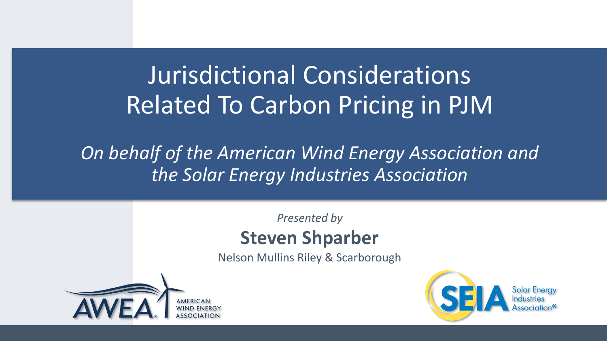# Jurisdictional Considerations Related To Carbon Pricing in PJM

#### *On behalf of the American Wind Energy Association and the Solar Energy Industries Association*

#### *Presented by* **Steven Shparber**

Nelson Mullins Riley & Scarborough



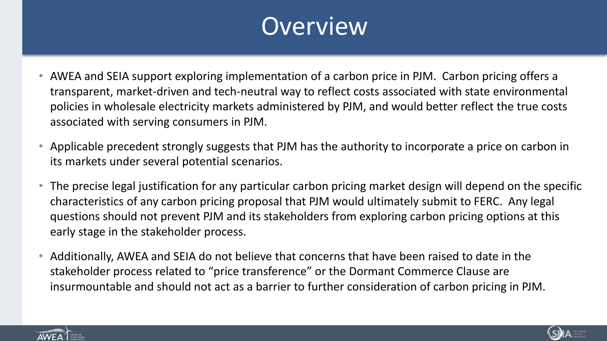#### **Overview**

- AWEA and SEIA support exploring implementation of a carbon price in PJM. Carbon pricing offers a transparent, market-driven and tech-neutral way to reflect costs associated with state environmental policies in wholesale electricity markets administered by PJM, and would better reflect the true costs associated with serving consumers in PJM.
- Applicable precedent strongly suggests that PJM has the authority to incorporate a price on carbon in its markets under several potential scenarios.
- The precise legal justification for any particular carbon pricing market design will depend on the specific characteristics of any carbon pricing proposal that PJM would ultimately submit to FERC. Any legal questions should not prevent PJM and its stakeholders from exploring carbon pricing options at this early stage in the stakeholder process.
- Additionally, AWEA and SEIA do not believe that concerns that have been raised to date in the stakeholder process related to "price transference" or the Dormant Commerce Clause are insurmountable and should not act as a barrier to further consideration of carbon pricing in PJM.



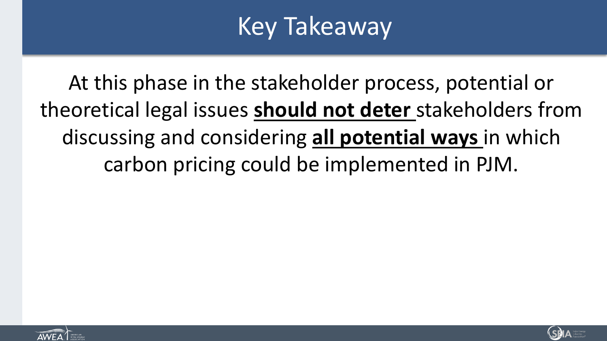# Key Takeaway

At this phase in the stakeholder process, potential or theoretical legal issues **should not deter** stakeholders from discussing and considering **all potential ways** in which carbon pricing could be implemented in PJM.



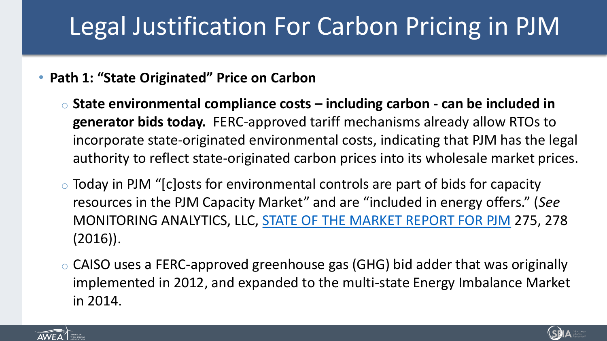# Legal Justification For Carbon Pricing in PJM

- **Path 1: "State Originated" Price on Carbon**
	- o **State environmental compliance costs – including carbon - can be included in generator bids today.** FERC-approved tariff mechanisms already allow RTOs to incorporate state-originated environmental costs, indicating that PJM has the legal authority to reflect state-originated carbon prices into its wholesale market prices.
	- o Today in PJM "[c]osts for environmental controls are part of bids for capacity resources in the PJM Capacity Market" and are "included in energy offers." (*See*  MONITORING ANALYTICS, LLC, [STATE OF THE MARKET REPORT FOR PJM](http://www.monitoringanalytics.com/reports/PJM_State_of_%20the_Market/2015/2015-som-pjm-volume2-sec8.pdf).) 275, 278 (2016)).
	- o CAISO uses a FERC-approved greenhouse gas (GHG) bid adder that was originally implemented in 2012, and expanded to the multi-state Energy Imbalance Market in 2014.



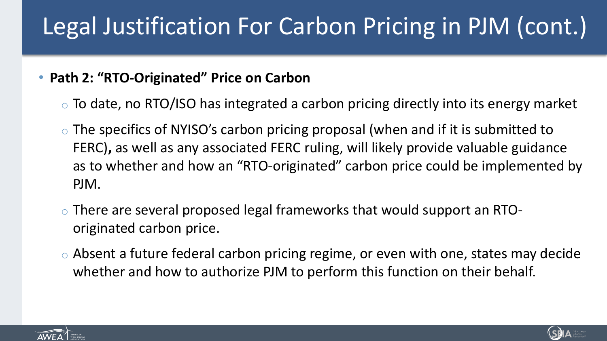# Legal Justification For Carbon Pricing in PJM (cont.)

#### • **Path 2: "RTO-Originated" Price on Carbon**

- $\circ$  To date, no RTO/ISO has integrated a carbon pricing directly into its energy market
- o The specifics of NYISO's carbon pricing proposal (when and if it is submitted to FERC)**,** as well as any associated FERC ruling, will likely provide valuable guidance as to whether and how an "RTO-originated" carbon price could be implemented by PJM.
- o There are several proposed legal frameworks that would support an RTOoriginated carbon price.
- o Absent a future federal carbon pricing regime, or even with one, states may decide whether and how to authorize PJM to perform this function on their behalf.



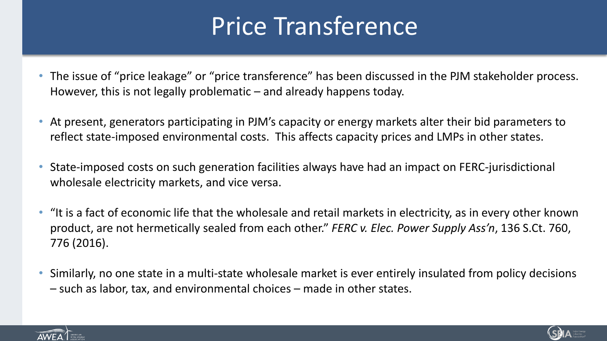### Price Transference

- The issue of "price leakage" or "price transference" has been discussed in the PJM stakeholder process. However, this is not legally problematic – and already happens today.
- At present, generators participating in PJM's capacity or energy markets alter their bid parameters to reflect state-imposed environmental costs. This affects capacity prices and LMPs in other states.
- State-imposed costs on such generation facilities always have had an impact on FERC-jurisdictional wholesale electricity markets, and vice versa.
- "It is a fact of economic life that the wholesale and retail markets in electricity, as in every other known product, are not hermetically sealed from each other." *FERC v. Elec. Power Supply Ass'n*, 136 S.Ct. 760, 776 (2016).
- Similarly, no one state in a multi-state wholesale market is ever entirely insulated from policy decisions – such as labor, tax, and environmental choices – made in other states.